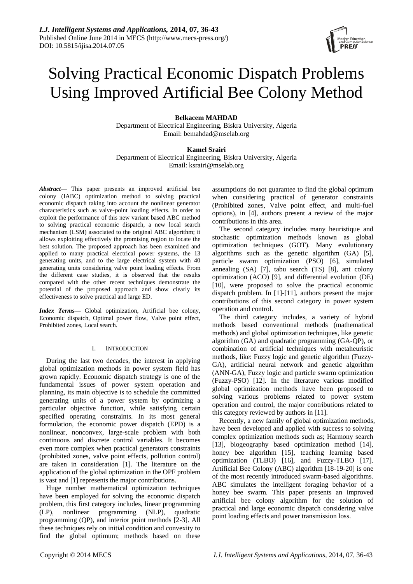# Solving Practical Economic Dispatch Problems Using Improved Artificial Bee Colony Method

# **Belkacem MAHDAD**

Department of Electrical Engineering, Biskra University, Algeria Email: bemahdad@mselab.org

# **Kamel Srairi**

Department of Electrical Engineering, Biskra University, Algeria Email: ksrairi@mselab.org

*Abstract*— This paper presents an improved artificial bee colony (IABC) optimization method to solving practical economic dispatch taking into account the nonlinear generator characteristics such as valve-point loading effects. In order to exploit the performance of this new variant based ABC method to solving practical economic dispatch, a new local search mechanism (LSM) associated to the original ABC algorithm; it allows exploiting effectively the promising region to locate the best solution. The proposed approach has been examined and applied to many practical electrical power systems, the 13 generating units, and to the large electrical system with 40 generating units considering valve point loading effects. From the different case studies, it is observed that the results compared with the other recent techniques demonstrate the potential of the proposed approach and show clearly its effectiveness to solve practical and large ED.

*Index Terms***—** Global optimization, Artificial bee colony, Economic dispatch, Optimal power flow, Valve point effect, Prohibited zones, Local search.

# I. INTRODUCTION

During the last two decades, the interest in applying global optimization methods in power system field has grown rapidly. Economic dispatch strategy is one of the fundamental issues of power system operation and planning, its main objective is to schedule the committed generating units of a power system by optimizing a particular objective function, while satisfying certain specified operating constraints. In its most general formulation, the economic power dispatch (EPD) is a nonlinear, nonconvex, large-scale problem with both continuous and discrete control variables. It becomes even more complex when practical generators constraints (prohibited zones, valve point effects, pollution control) are taken in consideration [1]. The literature on the application of the global optimization in the OPF problem is vast and [1] represents the major contributions.

Huge number mathematical optimization techniques have been employed for solving the economic dispatch problem, this first category includes, linear programming (LP), nonlinear programming (NLP), quadratic programming (QP), and interior point methods [2-3]. All these techniques rely on initial condition and convexity to find the global optimum; methods based on these

assumptions do not guarantee to find the global optimum when considering practical of generator constraints (Prohibited zones, Valve point effect, and multi-fuel options), in [4], authors present a review of the major contributions in this area.

The second category includes many heuristique and stochastic optimization methods known as global optimization techniques (GOT). Many evolutionary algorithms such as the genetic algorithm (GA) [5], particle swarm optimization (PSO) [6], simulated annealing (SA) [7], tabu search (TS) [8], ant colony optimization (ACO) [9], and differential evolution (DE) [10], were proposed to solve the practical economic dispatch problem. In [1]-[11], authors present the major contributions of this second category in power system operation and control.

The third category includes, a variety of hybrid methods based conventional methods (mathematical methods) and global optimization techniques, like genetic algorithm (GA) and quadratic programming (GA-QP), or combination of artificial techniques with metaheuristic methods, like: Fuzzy logic and genetic algorithm (Fuzzy-GA), artificial neural network and genetic algorithm (ANN-GA), Fuzzy logic and particle swarm optimization (Fuzzy-PSO) [12]. In the literature various modified global optimization methods have been proposed to solving various problems related to power system operation and control, the major contributions related to this category reviewed by authors in [11].

Recently, a new family of global optimization methods, have been developed and applied with success to solving complex optimization methods such as; Harmony search [13], biogeography based optimization method [14], honey bee algorithm [15], teaching learning based optimization (TLBO) [16], and Fuzzy-TLBO [17]. Artificial Bee Colony (ABC) algorithm [18-19-20] is one of the most recently introduced swarm-based algorithms. ABC simulates the intelligent foraging behavior of a honey bee swarm. This paper presents an improved artificial bee colony algorithm for the solution of practical and large economic dispatch considering valve point loading effects and power transmission loss.

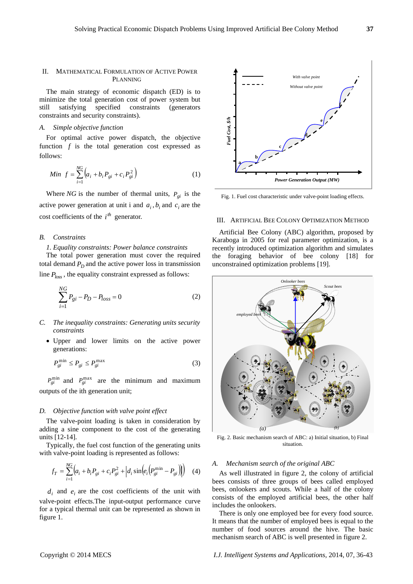# II. MATHEMATICAL FORMULATION OF ACTIVE POWER PLANNING

The main strategy of economic dispatch (ED) is to minimize the total generation cost of power system but still satisfying specified constraints (generators constraints and security constraints).

# *A. Simple objective function*

For optimal active power dispatch, the objective function  $f$  is the total generation cost expressed as follows:

Min 
$$
f = \sum_{i=1}^{NG} (a_i + b_i P_{gi} + c_i P_{gi}^2)
$$
 (1)

Where *NG* is the number of thermal units,  $P_{gi}$  is the active power generation at unit i and  $a_i$ ,  $b_i$  and  $c_i$  are the cost coefficients of the  $i^{th}$  generator.

#### *B. Constraints*

#### *1. Equality constraints: Power balance constraints*

The total power generation must cover the required total demand  $P_D$  and the active power loss in transmission line *Ploss* , the equality constraint expressed as follows:

$$
\sum_{i=1}^{NG} P_{gi} - P_D - P_{loss} = 0
$$
 (2)

- *C. The inequality constraints: Generating units security constraints* 
	- Upper and lower limits on the active power generations:

$$
P_{gi}^{\min} \le P_{gi} \le P_{gi}^{\max} \tag{3}
$$

 $P_{gi}^{\text{min}}$  and  $P_{gi}^{\text{max}}$  are the minimum and maximum outputs of the ith generation unit;

# *D. Objective function with valve point effect*

The valve-point loading is taken in consideration by adding a sine component to the cost of the generating units [12-14].

Typically, the fuel cost function of the generating units with valve-point loading is represented as follows:

$$
f_T = \sum_{i=1}^{NG} \left( a_i + b_i P_{gi} + c_i P_{gi}^2 + \left| d_i \sin \left( e_i \left( P_{gi}^{\min} - P_{gi} \right) \right) \right) \right)
$$
 (4)

 $d_i$  and  $e_i$  are the cost coefficients of the unit with valve-point effects.The input-output performance curve for a typical thermal unit can be represented as shown in figure 1.



Fig. 1. Fuel cost characteristic under valve-point loading effects.

#### III. ARTIFICIAL BEE COLONY OPTIMIZATION METHOD

Artificial Bee Colony (ABC) algorithm, proposed by Karaboga in 2005 for real parameter optimization, is a recently introduced optimization algorithm and simulates the foraging behavior of bee colony [18] for unconstrained optimization problems [19].



Fig. 2. Basic mechanism search of ABC: a) Initial situation, b) Final situation.

#### *A. Mechanism search of the original ABC*

As well illustrated in figure 2, the colony of artificial bees consists of three groups of bees called employed bees, onlookers and scouts. While a half of the colony consists of the employed artificial bees, the other half includes the onlookers.

There is only one employed bee for every food source. It means that the number of employed bees is equal to the number of food sources around the hive. The basic mechanism search of ABC is well presented in figure 2.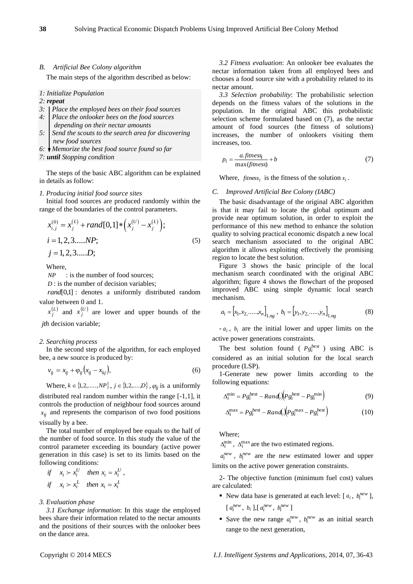# *B. Artificial Bee Colony algorithm*

The main steps of the algorithm described as below:

#### *1: Initialize Population*

# *2: repeat*

- *3: Place the employed bees on their food sources*
- *4: Place the onlooker bees on the food sources depending on their nectar amounts*
- *5: Send the scouts to the search area for discovering new food sources*
- *6: Memorize the best food source found so far*

*7: until Stopping condition*

The steps of the basic ABC algorithm can be explained in details as follow:

*1. Producing initial food source sites*

Initial food sources are produced randomly within the

range of the boundaries of the control parameters.  
\n
$$
x_{i,j}^{(0)} = x_j^{(L)} + rand[0,1]*(x_j^{(U)} - x_j^{(L)});
$$
\n
$$
i = 1, 2, 3, \dots NP;
$$
\n
$$
j = 1, 2, 3, \dots D;
$$
\n(5)

Where,

*NP* : is the number of food sources;

*D* : is the number of decision variables;

*rand*[0,1] : denotes a uniformly distributed random value between 0 and 1.

 $x_j^{(L)}$  and  $x_j^{(U)}$  are lower and upper bounds of the *jth* decision variable;

# *2. Searching process*

In the second step of the algorithm, for each employed bee, a new source is produced by:

$$
v_{ij} = x_{ij} + \varphi_{ij} \left( x_{ij} - x_{kj} \right), \tag{6}
$$

Where,  $k \in \{1, 2, ..., NP\}$ ,  $j \in \{1, 2, ..., D\}$ ,  $\varphi_{ij}$  is a uniformly distributed real random number within the range [-1,1], it controls the production of neighbour food sources around  $x_{ij}$  and represents the comparison of two food positions visually by a bee.

The total number of employed bee equals to the half of the number of food source. In this study the value of the control parameter exceeding its boundary (active power generation in this case) is set to its limits based on the following conditions:

$$
\begin{aligned}\n\text{if} \quad x_i > x_i^U \quad \text{then } x_i = x_i^U, \\
\text{if} \quad x_i > x_i^L \quad \text{then } x_i = x_i^L\n\end{aligned}
$$

#### *3. Evaluation phase*

*3.1 Exchange information*: In this stage the employed bees share their information related to the nectar amounts and the positions of their sources with the onlooker bees on the dance area.

*3.2 Fitness evaluation*: An onlooker bee evaluates the nectar information taken from all employed bees and chooses a food source site with a probability related to its nectar amount.

*3.3 Selection probability*: The probabilistic selection depends on the fitness values of the solutions in the population. In the original ABC this probabilistic selection scheme formulated based on (7), as the nectar amount of food sources (the fitness of solutions) increases, the number of onlookers visiting them increases, too.

$$
p_i = \frac{a \text{.fitness}_i}{\max(\text{fitness})} + b \tag{7}
$$

Where, *fitness*<sub>*i*</sub> is the fitness of the solution  $x_i$ .

#### *C. Improved Artificial Bee Colony (IABC)*

The basic disadvantage of the original ABC algorithm is that it may fail to locate the global optimum and provide near optimum solution, in order to exploit the performance of this new method to enhance the solution quality to solving practical economic dispatch a new local search mechanism associated to the original ABC algorithm it allows exploiting effectively the promising region to locate the best solution.

Figure 3 shows the basic principle of the local mechanism search coordinated with the original ABC algorithm; figure 4 shows the flowchart of the proposed improved ABC using simple dynamic local search mechanism.

$$
a_i = [x_1, x_2, \dots, x_n]_{1, ng}, b_i = [y_1, y_2, \dots, y_n]_{1, ng}
$$
 (8)

 $-a_i$ ,  $b_i$  are the initial lower and upper limits on the active power generations constraints.

The best solution found ( $P g_i^{best}$ ) using ABC is considered as an initial solution for the local search procedure (LSP).

1-Generate new power limits according to the following equations:

$$
\Delta_i^{\min} = P g_i^{best} - Rand(\left( P g_i^{best} - P g_i^{\min} \right) \tag{9}
$$

$$
\Delta_i^{\text{max}} = P g_i^{best} - R \text{ and } \left( \int P g_i^{\text{max}} - P g_i^{\text{best}} \right) \tag{10}
$$

Where;

 $\Delta_i^{\min}$ ,  $\Delta_i^{\max}$  are the two estimated regions.

 $a_i^{new}$ ,  $b_i^{new}$  are the new estimated lower and upper limits on the active power generation constraints.

2- The objective function (minimum fuel cost) values are calculated:

- New data base is generated at each level:  $[a_i, b_i^{new}]$ ,  $[a_i^{new}, b_i], [a_i^{new}, b_i^{new}]$
- Save the new range  $a_i^{new}$ ,  $b_i^{new}$  as an initial search range to the next generation,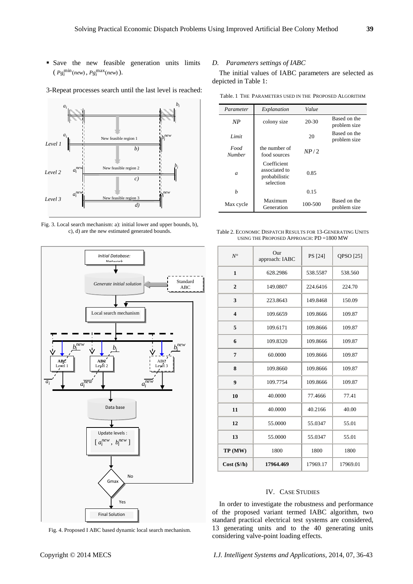- Save the new feasible generation units limits  $(Pg_i^{\min}(new), Pg_i^{\max}(new)).$
- 3-Repeat processes search until the last level is reached:



Fig. 3. Local search mechanism: a): initial lower and upper bounds, b), c), d) are the new estimated generated bounds.



Fig. 4. Proposed I ABC based dynamic local search mechanism.

# *D. Parameters settings of IABC*

The initial values of IABC parameters are selected as depicted in Table 1:

Table. 1 THE PARAMETERS USED IN THE PROPOSED ALGORITHM

| Parameter             | Explanation                                                | Value     |                              |
|-----------------------|------------------------------------------------------------|-----------|------------------------------|
| NP                    | colony size                                                | $20 - 30$ | Based on the<br>problem size |
| Limit                 |                                                            | 20        | Based on the<br>problem size |
| Food<br><b>Number</b> | the number of<br>food sources                              | NP/2      |                              |
| $\mathfrak{a}$        | Coefficient<br>associated to<br>probabilistic<br>selection | 0.85      |                              |
| h                     |                                                            | 0.15      |                              |
| Max cycle             | Maximum<br>Generation                                      | 100-500   | Based on the<br>problem size |

Table 2. ECONOMIC DISPATCH RESULTS FOR 13-GENERATING UNITS USING THE PROPOSED APPROACH: PD =1800 MW

| $N^{\circ}$              | Our<br>PS [24]<br>approach: IABC |          | QPSO [25] |  |
|--------------------------|----------------------------------|----------|-----------|--|
| $\mathbf{1}$             | 628.2986                         |          | 538.560   |  |
| $\overline{2}$           | 149.0807                         | 224.6416 | 224.70    |  |
| 3                        | 223.8643                         | 149.8468 | 150.09    |  |
| $\overline{\mathbf{4}}$  | 109.8666<br>109.6659             |          | 109.87    |  |
| 5                        | 109.6171                         | 109.8666 |           |  |
| 6                        | 109.8320                         | 109.8666 | 109.87    |  |
| 7                        | 60.0000<br>109.8666              |          | 109.87    |  |
| 8                        | 109.8660                         | 109.8666 | 109.87    |  |
| 9                        | 109.7754                         | 109.8666 | 109.87    |  |
| 10                       | 40.0000<br>77.4666               |          | 77.41     |  |
| 11                       | 40.0000                          | 40.2166  | 40.00     |  |
| 12                       | 55.0000                          | 55.0347  | 55.01     |  |
| 13                       | 55.0000                          |          | 55.01     |  |
| TP (MW)                  | 1800                             |          | 1800      |  |
| $Cost$ ( $\frac{s}{h}$ ) | 17964.469                        | 17969.17 | 17969.01  |  |

# IV. CASE STUDIES

In order to investigate the robustness and performance of the proposed variant termed IABC algorithm, two standard practical electrical test systems are considered, 13 generating units and to the 40 generating units considering valve-point loading effects.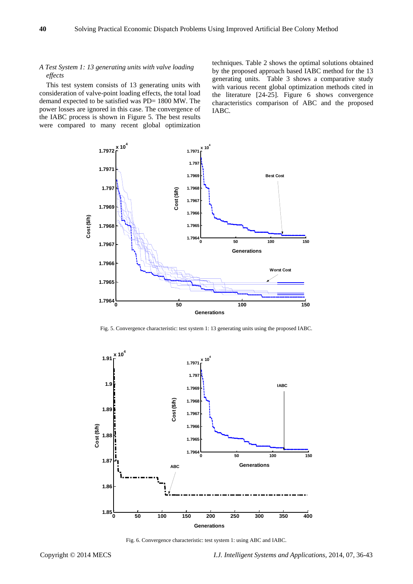# *A Test System 1: 13 generating units with valve loading effects*

This test system consists of 13 generating units with consideration of valve-point loading effects, the total load demand expected to be satisfied was PD= 1800 MW. The power losses are ignored in this case. The convergence of the IABC process is shown in Figure 5. The best results were compared to many recent global optimization techniques. Table 2 shows the optimal solutions obtained by the proposed approach based IABC method for the 13 generating units. Table 3 shows a comparative study with various recent global optimization methods cited in the literature [24-25]. Figure 6 shows convergence characteristics comparison of ABC and the proposed IABC.



Fig. 5. Convergence characteristic: test system 1: 13 generating units using the proposed IABC.



Fig. 6. Convergence characteristic: test system 1: using ABC and IABC.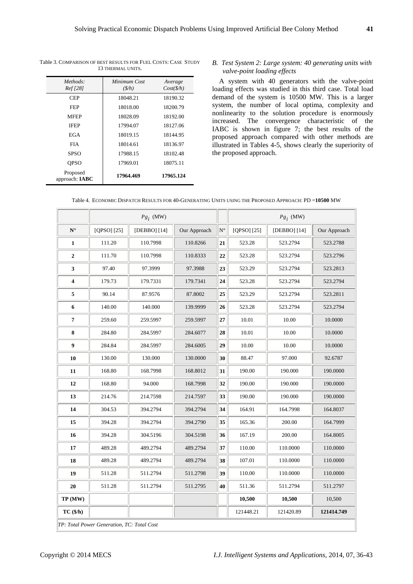| Methods:<br><i>Ref</i> [28]  | Minimum Cost<br>(S/h) | Average<br>Cost(S/h) |
|------------------------------|-----------------------|----------------------|
| <b>CEP</b>                   | 18048.21              | 18190.32             |
| FEP                          | 18018.00              | 18200.79             |
| MFEP                         | 18028.09              | 18192.00             |
| <b>IFEP</b>                  | 17994.07              | 18127.06             |
| EGA                          | 18019.15              | 18144.95             |
| <b>FIA</b>                   | 18014.61              | 18136.97             |
| <b>SPSO</b>                  | 17988.15              | 18102.48             |
| <b>OPSO</b>                  | 17969.01              | 18075.11             |
| Proposed<br>approach: $IABC$ | 17964.469             | 17965.124            |

Table 3. COMPARISON OF BEST RESULTS FOR FUEL COSTS: CASE STUDY 13 THERMAL UNITS.

# *B. Test System 2: Large system: 40 generating units with valve-point loading effects*

A system with 40 generators with the valve-point loading effects was studied in this third case. Total load demand of the system is 10500 MW. This is a larger system, the number of local optima, complexity and nonlinearity to the solution procedure is enormously increased. The convergence characteristic of the IABC is shown in figure 7; the best results of the proposed approach compared with other methods are illustrated in Tables 4-5, shows clearly the superiority of the proposed approach.

|  |  |  | Table 4. ECONOMIC DISPATCH RESULTS FOR 40-GENERATING UNITS USING THE PROPOSED APPROACH: PD = <b>10500</b> MW |
|--|--|--|--------------------------------------------------------------------------------------------------------------|
|--|--|--|--------------------------------------------------------------------------------------------------------------|

|                                            |             | $Pg_i$ (MW)  |              |             |             | $Pg_i$ (MW)  |              |
|--------------------------------------------|-------------|--------------|--------------|-------------|-------------|--------------|--------------|
| $\mathbf{N}$ $^{\circ}$                    | [QPSO] [25] | [DEBBO] [14] | Our Approach | $N^{\circ}$ | [QPSO] [25] | [DEBBO] [14] | Our Approach |
| 1                                          | 111.20      | 110.7998     | 110.8266     | 21          | 523.28      | 523.2794     | 523.2788     |
| $\boldsymbol{2}$                           | 111.70      | 110.7998     | 110.8333     | 22          | 523.28      | 523.2794     | 523.2796     |
| 3                                          | 97.40       | 97.3999      | 97.3988      | 23          | 523.29      | 523.2794     | 523.2813     |
| 4                                          | 179.73      | 179.7331     | 179.7341     | 24          | 523.28      | 523.2794     | 523.2794     |
| 5                                          | 90.14       | 87.9576      | 87.8002      | 25          | 523.29      | 523.2794     | 523.2811     |
| 6                                          | 140.00      | 140.000      | 139.9999     | 26          | 523.28      | 523.2794     | 523.2794     |
| 7                                          | 259.60      | 259.5997     | 259.5997     | 27          | 10.01       | 10.00        | 10.0000      |
| 8                                          | 284.80      | 284.5997     | 284.6077     | 28          | 10.01       | 10.00        | 10.0000      |
| 9                                          | 284.84      | 284.5997     | 284.6005     | 29          | 10.00       | 10.00        | 10.0000      |
| 10                                         | 130.00      | 130.000      | 130.0000     | 30          | 88.47       | 97.000       | 92.6787      |
| 11                                         | 168.80      | 168.7998     | 168.8012     | 31          | 190.00      | 190.000      | 190.0000     |
| 12                                         | 168.80      | 94.000       | 168.7998     | 32          | 190.00      | 190.000      | 190.0000     |
| 13                                         | 214.76      | 214.7598     | 214.7597     | 33          | 190.00      | 190.000      | 190.0000     |
| 14                                         | 304.53      | 394.2794     | 394.2794     | 34          | 164.91      | 164.7998     | 164.8037     |
| 15                                         | 394.28      | 394.2794     | 394.2790     | 35          | 165.36      | 200.00       | 164.7999     |
| 16                                         | 394.28      | 304.5196     | 304.5198     | 36          | 167.19      | 200.00       | 164.8005     |
| 17                                         | 489.28      | 489.2794     | 489.2794     | 37          | 110.00      | 110.0000     | 110.0000     |
| 18                                         | 489.28      | 489.2794     | 489.2794     | 38          | 107.01      | 110.0000     | 110.0000     |
| 19                                         | 511.28      | 511.2794     | 511.2798     | 39          | 110.00      | 110.0000     | 110.0000     |
| 20                                         | 511.28      | 511.2794     | 511.2795     | 40          | 511.36      | 511.2794     | 511.2797     |
| TP (MW)                                    |             |              |              |             | 10,500      | 10,500       | 10,500       |
| TC(1/h)                                    |             |              |              |             | 121448.21   | 121420.89    | 121414.749   |
| TP: Total Power Generation, TC: Total Cost |             |              |              |             |             |              |              |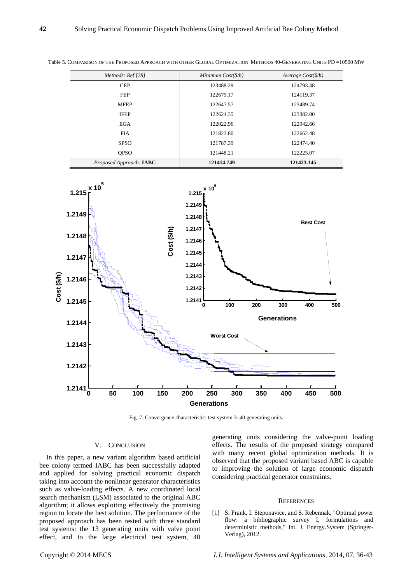| Methods: Ref [28]       | Minimum $Cost(\frac{6}{h})$ | Average $Cost(\frac{6}{h})$ |  |
|-------------------------|-----------------------------|-----------------------------|--|
| <b>CEP</b>              | 123488.29                   | 124793.48                   |  |
| <b>FEP</b>              | 122679.17                   | 124119.37                   |  |
| <b>MFEP</b>             | 122647.57                   | 123489.74                   |  |
| <b>IFEP</b>             | 122624.35                   | 123382.00                   |  |
| EGA                     | 122022.96                   | 122942.66                   |  |
| <b>FIA</b>              | 121823.80                   | 122662.48                   |  |
| <b>SPSO</b>             | 121787.39                   | 122474.40                   |  |
| <b>OPSO</b>             | 121448.21                   | 122225.07                   |  |
| Proposed Approach: IABC | 121414.749                  | 121423.145                  |  |

Table 5. COMPARISON OF THE PROPOSED APPROACH WITH OTHER GLOBAL OPTIMIZATION METHODS 40-GENERATING UNITS PD =10500 MW



Fig. 7. Convergence characteristic: test system 3: 40 generating units.

#### V. CONCLUSION

In this paper, a new variant algorithm based artificial bee colony termed IABC has been successfully adapted and applied for solving practical economic dispatch taking into account the nonlinear generator characteristics such as valve-loading effects. A new coordinated local search mechanism (LSM) associated to the original ABC algorithm; it allows exploiting effectively the promising region to locate the best solution. The performance of the proposed approach has been tested with three standard test systems: the 13 generating units with valve point effect, and to the large electrical test system, 40 generating units considering the valve-point loading effects. The results of the proposed strategy compared with many recent global optimization methods. It is observed that the proposed variant based ABC is capable to improving the solution of large economic dispatch considering practical generator constraints.

#### **REFERENCES**

[1] S. Frank, I. Steponavice, and S. Rebennak, "Optimal power flow: a bibliographic survey I, formulations and deterministic methods," Int. J. Energy.System (Springer-Verlag), 2012.

Copyright © 2014 MECS *I.J. Intelligent Systems and Applications,* 2014, 07, 36-43